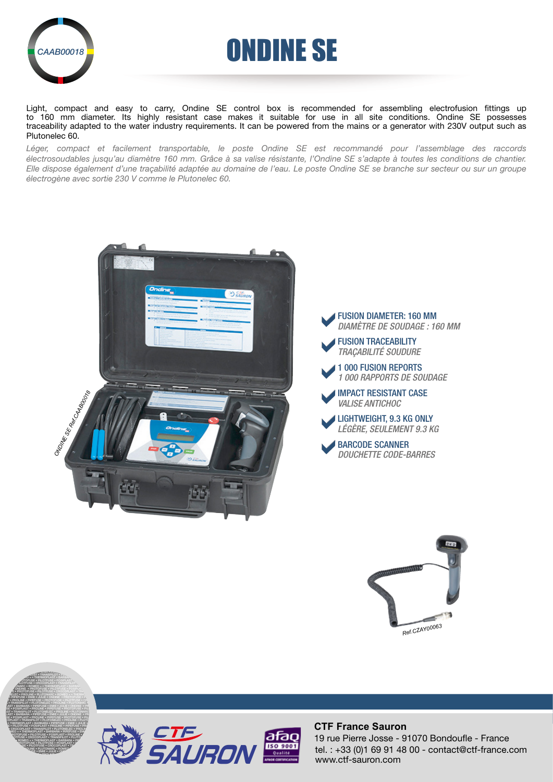

# AAB00018**P** ONDINE SE

Light, compact and easy to carry, Ondine SE control box is recommended for assembling electrofusion fittings up to 160 mm diameter. Its highly resistant case makes it suitable for use in all site conditions. Ondine SE possesses traceability adapted to the water industry requirements. It can be powered from the mains or a generator with 230V output such as Plutonelec 60.

*Léger, compact et facilement transportable, le poste Ondine SE est recommandé pour l'assemblage des raccords électrosoudables jusqu'au diamètre 160 mm. Grâce à sa valise résistante, l'Ondine SE s'adapte à toutes les conditions de chantier. Elle dispose également d'une traçabilité adaptée au domaine de l'eau. Le poste Ondine SE se branche sur secteur ou sur un groupe électrogène avec sortie 230 V comme le Plutonelec 60.*









PROLINE • PIPEFUSE • PROTOFUSE • PILOTFUSE • CROCOPLAST • TRANSPILOT • THERMOPLAST • PIPEFUSE • EMIE • PILOTFUSE • PILOTFUSE • PILOTFUSE • PILOTFUSE • PRODUCTS **PILOT • TRANSPILOT • PLUT PLOTON • THERMOPLAST • BARBARA** 



### **CTF France Sauron**

tel. : +33 (0)1 69 91 48 00 - contact@ctf-france.com www.ctf-sauron.com 19 rue Pierre Josse - 91070 Bondoufle - France